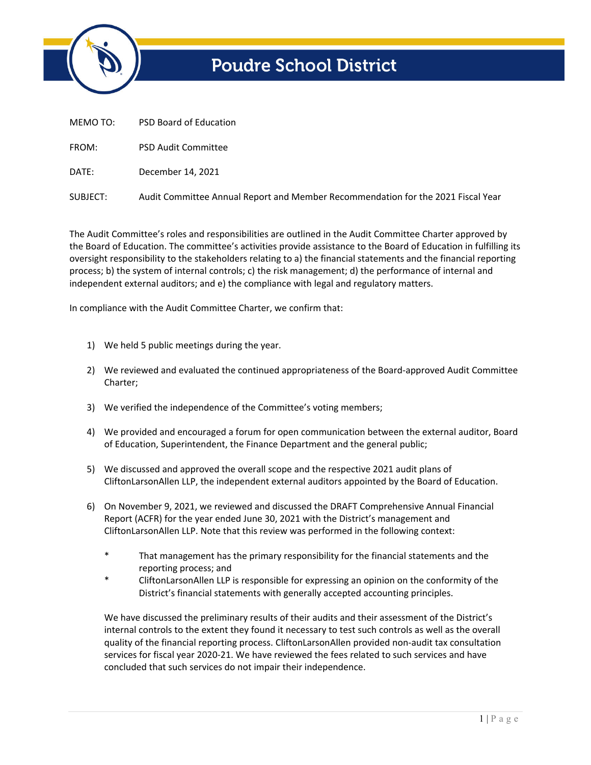

## **Poudre School District**

| MEMO TO: | <b>PSD Board of Education</b> |
|----------|-------------------------------|
| FROM:    | <b>PSD Audit Committee</b>    |
| DATE:    | December 14, 2021             |

SUBJECT: Audit Committee Annual Report and Member Recommendation for the 2021 Fiscal Year

The Audit Committee's roles and responsibilities are outlined in the Audit Committee Charter approved by the Board of Education. The committee's activities provide assistance to the Board of Education in fulfilling its oversight responsibility to the stakeholders relating to a) the financial statements and the financial reporting process; b) the system of internal controls; c) the risk management; d) the performance of internal and independent external auditors; and e) the compliance with legal and regulatory matters.

In compliance with the Audit Committee Charter, we confirm that:

- 1) We held 5 public meetings during the year.
- 2) We reviewed and evaluated the continued appropriateness of the Board-approved Audit Committee Charter;
- 3) We verified the independence of the Committee's voting members;
- 4) We provided and encouraged a forum for open communication between the external auditor, Board of Education, Superintendent, the Finance Department and the general public;
- 5) We discussed and approved the overall scope and the respective 2021 audit plans of CliftonLarsonAllen LLP, the independent external auditors appointed by the Board of Education.
- 6) On November 9, 2021, we reviewed and discussed the DRAFT Comprehensive Annual Financial Report (ACFR) for the year ended June 30, 2021 with the District's management and CliftonLarsonAllen LLP. Note that this review was performed in the following context:
	- \* That management has the primary responsibility for the financial statements and the reporting process; and
	- CliftonLarsonAllen LLP is responsible for expressing an opinion on the conformity of the District's financial statements with generally accepted accounting principles.

We have discussed the preliminary results of their audits and their assessment of the District's internal controls to the extent they found it necessary to test such controls as well as the overall quality of the financial reporting process. CliftonLarsonAllen provided non‐audit tax consultation services for fiscal year 2020‐21. We have reviewed the fees related to such services and have concluded that such services do not impair their independence.